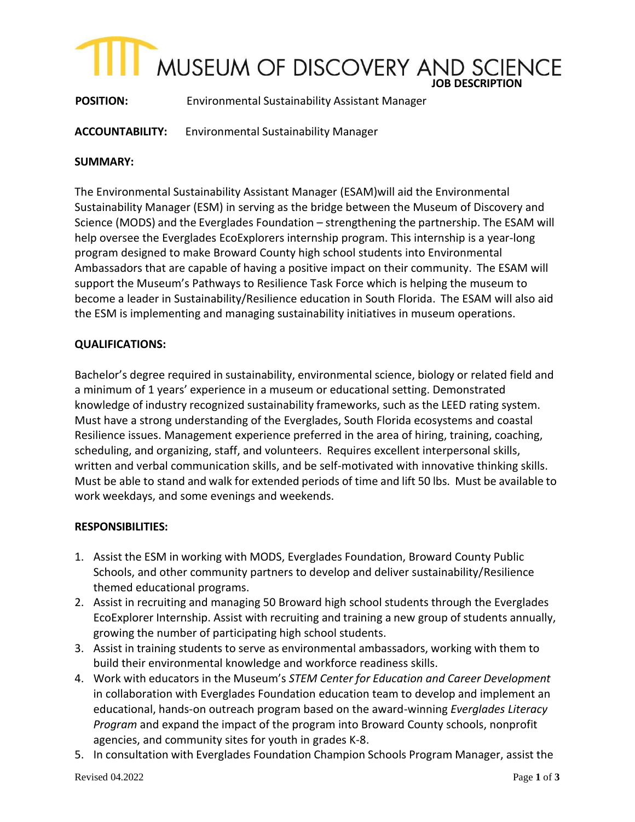# **IOB** DISCOVERY AND SCIENCE

**POSITION:** Environmental Sustainability Assistant Manager

**ACCOUNTABILITY:** Environmental Sustainability Manager

## **SUMMARY:**

The Environmental Sustainability Assistant Manager (ESAM)will aid the Environmental Sustainability Manager (ESM) in serving as the bridge between the Museum of Discovery and Science (MODS) and the Everglades Foundation – strengthening the partnership. The ESAM will help oversee the Everglades EcoExplorers internship program. This internship is a year-long program designed to make Broward County high school students into Environmental Ambassadors that are capable of having a positive impact on their community. The ESAM will support the Museum's Pathways to Resilience Task Force which is helping the museum to become a leader in Sustainability/Resilience education in South Florida. The ESAM will also aid the ESM is implementing and managing sustainability initiatives in museum operations.

# **QUALIFICATIONS:**

Bachelor's degree required in sustainability, environmental science, biology or related field and a minimum of 1 years' experience in a museum or educational setting. Demonstrated knowledge of industry recognized sustainability frameworks, such as the LEED rating system. Must have a strong understanding of the Everglades, South Florida ecosystems and coastal Resilience issues. Management experience preferred in the area of hiring, training, coaching, scheduling, and organizing, staff, and volunteers. Requires excellent interpersonal skills, written and verbal communication skills, and be self-motivated with innovative thinking skills. Must be able to stand and walk for extended periods of time and lift 50 lbs. Must be available to work weekdays, and some evenings and weekends.

## **RESPONSIBILITIES:**

- 1. Assist the ESM in working with MODS, Everglades Foundation, Broward County Public Schools, and other community partners to develop and deliver sustainability/Resilience themed educational programs.
- 2. Assist in recruiting and managing 50 Broward high school students through the Everglades EcoExplorer Internship. Assist with recruiting and training a new group of students annually, growing the number of participating high school students.
- 3. Assist in training students to serve as environmental ambassadors, working with them to build their environmental knowledge and workforce readiness skills.
- 4. Work with educators in the Museum's *STEM Center for Education and Career Development*  in collaboration with Everglades Foundation education team to develop and implement an educational, hands-on outreach program based on the award-winning *Everglades Literacy Program* and expand the impact of the program into Broward County schools, nonprofit agencies, and community sites for youth in grades K-8.
- 5. In consultation with Everglades Foundation Champion Schools Program Manager, assist the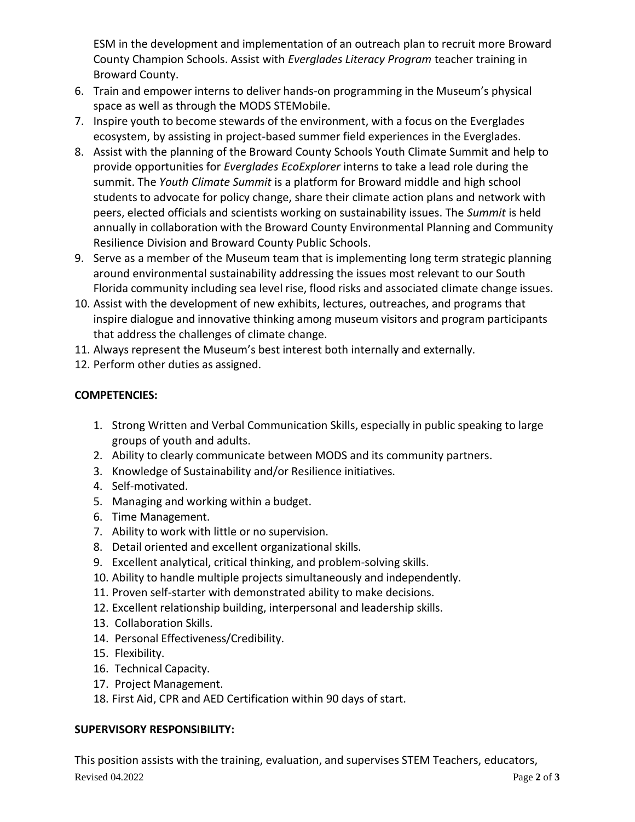ESM in the development and implementation of an outreach plan to recruit more Broward County Champion Schools. Assist with *Everglades Literacy Program* teacher training in Broward County.

- 6. Train and empower interns to deliver hands-on programming in the Museum's physical space as well as through the MODS STEMobile.
- 7. Inspire youth to become stewards of the environment, with a focus on the Everglades ecosystem, by assisting in project-based summer field experiences in the Everglades.
- 8. Assist with the planning of the Broward County Schools Youth Climate Summit and help to provide opportunities for *Everglades EcoExplorer* interns to take a lead role during the summit. The *Youth Climate Summit* is a platform for Broward middle and high school students to advocate for policy change, share their climate action plans and network with peers, elected officials and scientists working on sustainability issues. The *Summit* is held annually in collaboration with the Broward County Environmental Planning and Community Resilience Division and Broward County Public Schools.
- 9. Serve as a member of the Museum team that is implementing long term strategic planning around environmental sustainability addressing the issues most relevant to our South Florida community including sea level rise, flood risks and associated climate change issues.
- 10. Assist with the development of new exhibits, lectures, outreaches, and programs that inspire dialogue and innovative thinking among museum visitors and program participants that address the challenges of climate change.
- 11. Always represent the Museum's best interest both internally and externally.
- 12. Perform other duties as assigned.

# **COMPETENCIES:**

- 1. Strong Written and Verbal Communication Skills, especially in public speaking to large groups of youth and adults.
- 2. Ability to clearly communicate between MODS and its community partners.
- 3. Knowledge of Sustainability and/or Resilience initiatives.
- 4. Self-motivated.
- 5. Managing and working within a budget.
- 6. Time Management.
- 7. Ability to work with little or no supervision.
- 8. Detail oriented and excellent organizational skills.
- 9. Excellent analytical, critical thinking, and problem-solving skills.
- 10. Ability to handle multiple projects simultaneously and independently.
- 11. Proven self-starter with demonstrated ability to make decisions.
- 12. Excellent relationship building, interpersonal and leadership skills.
- 13. Collaboration Skills.
- 14. Personal Effectiveness/Credibility.
- 15. Flexibility.
- 16. Technical Capacity.
- 17. Project Management.
- 18. First Aid, CPR and AED Certification within 90 days of start.

# **SUPERVISORY RESPONSIBILITY:**

Revised 04.2022 Page 2 of 3 This position assists with the training, evaluation, and supervises STEM Teachers, educators,